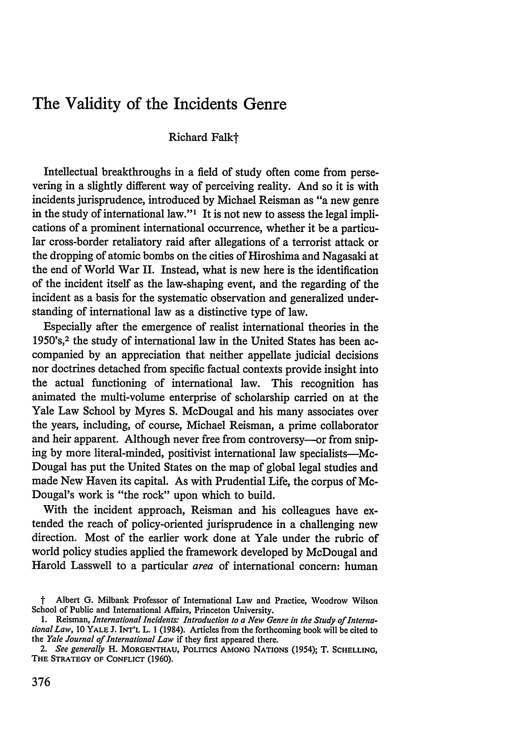# The Validity of the Incidents Genre

Richard Falkt

Intellectual breakthroughs in a field of study often come from persevering in a slightly different way of perceiving reality. And so it is with incidents jurisprudence, introduced by Michael Reisman as "a new genre in the study of international law."<sup>1</sup> It is not new to assess the legal implications of a prominent international occurrence, whether it be a particular cross-border retaliatory raid after allegations of a terrorist attack or the dropping of atomic bombs on the cities of Hiroshima and Nagasaki at the end of World War II. Instead, what is new here is the identification of the incident itself as the law-shaping event, and the regarding of the incident as a basis for the systematic observation and generalized understanding of international law as a distinctive type of law.

Especially after the emergence of realist international theories in the 1950's,2 the study of international law in the United States has been accompanied by an appreciation that neither appellate judicial decisions nor doctrines detached from specific factual contexts provide insight into the actual functioning of international law. This recognition has animated the multi-volume enterprise of scholarship carried on at the Yale Law School by Myres S. McDougal and his many associates over the years, including, of course, Michael Reisman, a prime collaborator and heir apparent. Although never free from controversy--- or from sniping by more literal-minded, positivist international law specialists-Mc-Dougal has put the United States on the map of global legal studies and made New Haven its capital. As with Prudential Life, the corpus of Mc-Dougal's work is "the rock" upon which to build.

With the incident approach, Reisman and his colleagues have extended the reach of policy-oriented jurisprudence in a challenging new direction. Most of the earlier work done at Yale under the rubric of world policy studies applied the framework developed by McDougal and Harold Lasswell to a particular area of international concern: human

t Albert G. Milbank Professor of International Law and Practice, Woodrow Wilson School of Public and International Affairs, Princeton University.

<sup>1.</sup> Reisman, *International Incidents: Introduction to a New Genre in the Study of InternationalLaw,* **10** YALE J. INT'L L. 1 (1984). Articles from the forthcoming book will be cited to the *Yale Journal of International Law* if they first appeared there.

*<sup>2.</sup> See generally* H. **MORGENTHAU,** POLITICS **AMONG NATIONS** (1954); T. **SCHELLING,** THE STRATEGY **OF CONFLICT** (1960).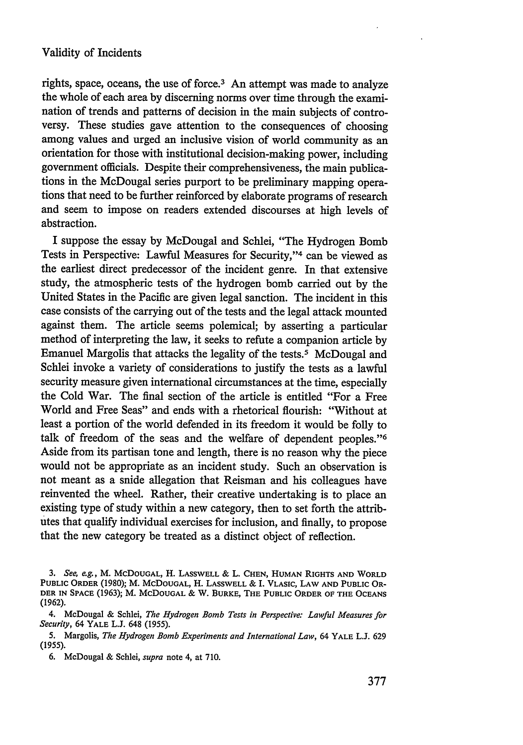rights, space, oceans, the use of force. $3$  An attempt was made to analyze the whole of each area by discerning norms over time through the examination of trends and patterns of decision in the main subjects of controversy. These studies gave attention to the consequences of choosing among values and urged an inclusive vision of world community as an orientation for those with institutional decision-making power, including government officials. Despite their comprehensiveness, the main publications in the McDougal series purport to be preliminary mapping operations that need to be further reinforced by elaborate programs of research and seem to impose on readers extended discourses at high levels of abstraction.

I suppose the essay by McDougal and Schlei, "The Hydrogen Bomb Tests in Perspective: Lawful Measures for Security,"<sup>4</sup> can be viewed as the earliest direct predecessor of the incident genre. In that extensive study, the atmospheric tests of the hydrogen bomb carried out by the United States in the Pacific are given legal sanction. The incident in this case consists of the carrying out of the tests and the legal attack mounted against them. The article seems polemical; by asserting a particular method of interpreting the law, it seeks to refute a companion article by Emanuel Margolis that attacks the legality of the tests.<sup>5</sup> McDougal and Schlei invoke a variety of considerations to justify the tests as a lawful security measure given international circumstances at the time, especially the Cold War. The final section of the article is entitled "For a Free World and Free Seas" and ends with a rhetorical flourish: "Without at least a portion of the world defended in its freedom it would be folly to talk of freedom of the seas and the welfare of dependent peoples."<sup>6</sup> Aside from its partisan tone and length, there is no reason why the piece would not be appropriate as an incident study. Such an observation is not meant as a snide allegation that Reisman and his colleagues have reinvented the wheel. Rather, their creative undertaking is to place an existing type of study within a new category, then to set forth the attributes that qualify individual exercises for inclusion, and finally, to propose that the new category be treated as a distinct object of reflection.

*<sup>3.</sup> See, e.g.,* M. **McDOUGAL,** H. **LASSWELL** & L. **CHEN, HUMAN RIGHTS AND WORLD PUBLIC ORDER** (1980); M. **McDOUGAL,** H. **LASSWELL** & I. **VLASIC,** LAW **AND PUBLIC** OR-**DER IN SPACE** (1963); M. McDOUGAL & W. **BURKE, THE PUBLIC** ORDER **OF THE OCEANS (1962).**

<sup>4.</sup> McDougal & Schlei, *The Hydrogen Bomb Tests in Perspective: Lawful Measures for Security,* 64 YALE L.J. 648 (1955).

<sup>5.</sup> Margolis, *The Hydrogen Bomb Experiments and International Law,* 64 YALE L.J. 629 (1955).

<sup>6.</sup> McDougal & Schlei, *supra* note 4, at 710.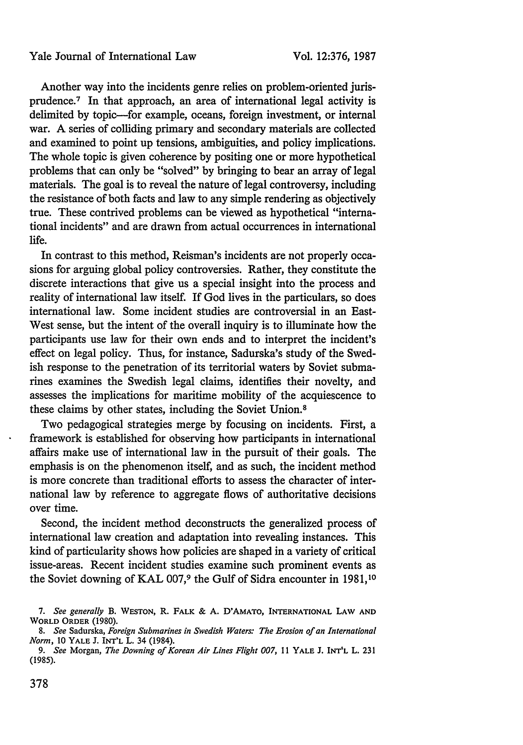Another way into the incidents genre relies on problem-oriented jurisprudence.<sup>7</sup> In that approach, an area of international legal activity is delimited by topic-for example, oceans, foreign investment, or internal war. A series of colliding primary and secondary materials are collected and examined to point up tensions, ambiguities, and policy implications. The whole topic is given coherence by positing one or more hypothetical problems that can only be "solved" by bringing to bear an array of legal materials. The goal is to reveal the nature of legal controversy, including the resistance of both facts and law to any simple rendering as objectively true. These contrived problems can be viewed as hypothetical "international incidents" and are drawn from actual occurrences in international life.

In contrast to this method, Reisman's incidents are not properly occasions for arguing global policy controversies. Rather, they constitute the discrete interactions that give us a special insight into the process and reality of international law itself. If God lives in the particulars, so does international law. Some incident studies are controversial in an East-West sense, but the intent of the overall inquiry is to illuminate how the participants use law for their own ends and to interpret the incident's effect on legal policy. Thus, for instance, Sadurska's study of the Swedish response to the penetration of its territorial waters by Soviet submarines examines the Swedish legal claims, identifies their novelty, and assesses the implications for maritime mobility of the acquiescence to these claims by other states, including the Soviet Union.<sup>8</sup>

Two pedagogical strategies merge by focusing on incidents. First, a framework is established for observing how participants in international affairs make use of international law in the pursuit of their goals. The emphasis is on the phenomenon itself, and as such, the incident method is more concrete than traditional efforts to assess the character of international law by reference to aggregate flows of authoritative decisions over time.

Second, the incident method deconstructs the generalized process of international law creation and adaptation into revealing instances. This kind of particularity shows how policies are shaped in a variety of critical issue-areas. Recent incident studies examine such prominent events as the Soviet downing of KAL **007,<sup>9</sup>**the Gulf of Sidra encounter in 1981,10

*<sup>7.</sup> See generally* B. **WESTON, R.** FALK **& A.** D'AMATO, **INTERNATIONAL** LAW **AND** WORLD ORDER (1980).

*<sup>8.</sup> See* Sadurska, *Foreign Submarines in Swedish Waters: The Erosion of an International Norm,* 10 YALE J. INT'L L. 34 (1984).

*<sup>9.</sup> See* Morgan, *The Downing of Korean Air Lines Flight 007,* **11** YALE **J. INT'L** L. **231** (1985).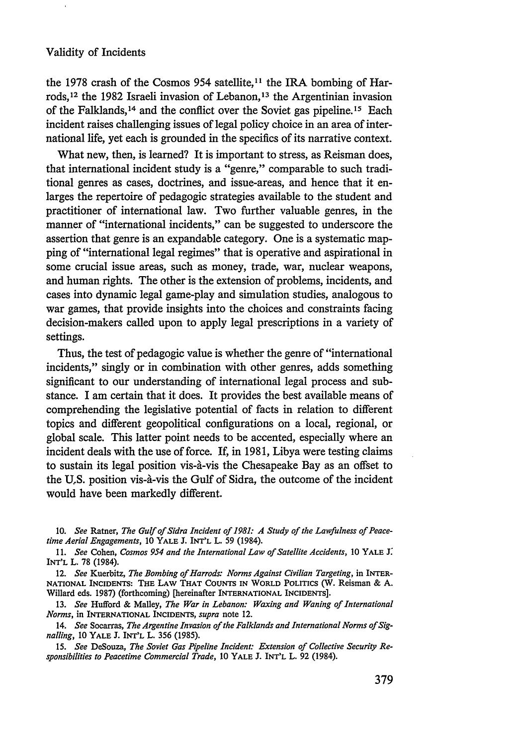the 1978 crash of the Cosmos 954 satellite,<sup>11</sup> the IRA bombing of Harrods.<sup>12</sup> the 1982 Israeli invasion of Lebanon,<sup>13</sup> the Argentinian invasion of the Falklands,<sup>14</sup> and the conflict over the Soviet gas pipeline.<sup>15</sup> Each incident raises challenging issues of legal policy choice in an area of international life, yet each is grounded in the specifics of its narrative context.

What new, then, is learned? It is important to stress, as Reisman does, that international incident study is a "genre," comparable to such traditional genres as cases, doctrines, and issue-areas, and hence that it enlarges the repertoire of pedagogic strategies available to the student and practitioner of international law. Two further valuable genres, in the manner of "international incidents," can be suggested to underscore the assertion that genre is an expandable category. One is a systematic mapping of "international legal regimes" that is operative and aspirational in some crucial issue areas, such as money, trade, war, nuclear weapons, and human rights. The other is the extension of problems, incidents, and cases into dynamic legal game-play and simulation studies, analogous to war games, that provide insights into the choices and constraints facing decision-makers called upon to apply legal prescriptions in a variety of settings.

Thus, the test of pedagogic value is whether the genre of "international incidents," singly or in combination with other genres, adds something significant to our understanding of international legal process and substance. I am certain that it does. It provides the best available means of comprehending the legislative potential of facts in relation to different topics and different geopolitical configurations on a local, regional, or global scale. This latter point needs to be accented, especially where an incident deals with the use of force. If, in 1981, Libya were testing claims to sustain its legal position vis-à-vis the Chesapeake Bay as an offset to the U.S. position vis-à-vis the Gulf of Sidra, the outcome of the incident would have been markedly different.

<sup>10.</sup> *See* Ratner, *The Gulf of Sidra Incident of 1981: A Study of the Lawfulness of Peacetime Aerial Engagements,* 10 YALE J. INT'L L. 59 (1984).

**<sup>11.</sup>** *See* Cohen, *Cosmos 954 and the International Law of Satellite Accidents,* 10 YALE **J: INT'L** L. 78 (1984).

<sup>12.</sup> *See* Kuerbitz, *The Bombing of Harrods: Norms Against Civilian Targeting,* in INTER-**NATIONAL INCIDENTS: THE** LAW THAT **COUNTS IN WORLD** POLITICS (W. Reisman & **A.** Willard eds. **1987)** (forthcoming) [hereinafter **INTERNATIONAL INCIDENTS].**

**<sup>13.</sup>** *See* Hufford & Malley, *The War in Lebanon: Waxing and Waning of International Norms,* in **INTERNATIONAL INCIDENTS,** *supra* note 12.

<sup>14.</sup> *See* Socarras, *The Argentine Invasion of the Falklands and International Norms of Signalling, 10* YALE J. INT'L L. 356 (1985).

<sup>15.</sup> *See* DeSouza, *The Soviet Gas Pipeline Incident: Extension of Collective Security Responsibilities to Peacetime Commercial Trade,* 10 YALE J. **INT'L** L. 92 (1984).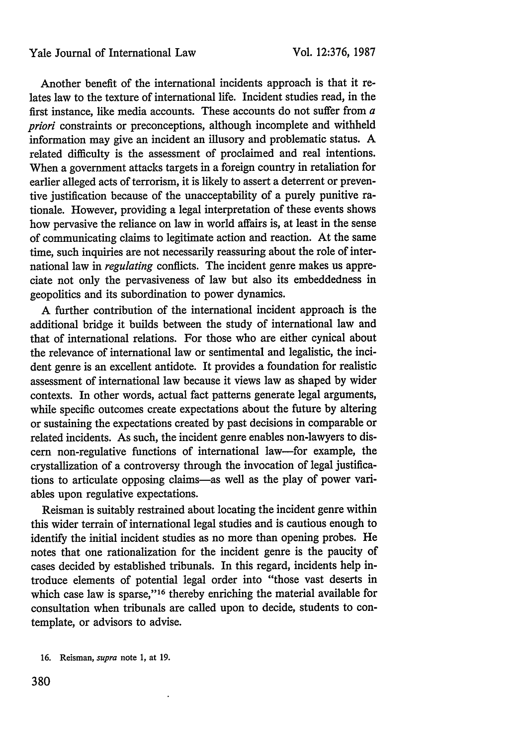Another benefit of the international incidents approach is that it relates law to the texture of international life. Incident studies read, in the first instance, like media accounts. These accounts do not suffer from a *priori* constraints or preconceptions, although incomplete and withheld information may give an incident an illusory and problematic status. A related difficulty is the assessment of proclaimed and real intentions. When a government attacks targets in a foreign country in retaliation for earlier alleged acts of terrorism, it is likely to assert a deterrent or preventive justification because of the unacceptability of a purely punitive rationale. However, providing a legal interpretation of these events shows how pervasive the reliance on law in world affairs is, at least in the sense of communicating claims to legitimate action and reaction. At the same time, such inquiries are not necessarily reassuring about the role of international law in *regulating* conflicts. The incident genre makes us appreciate not only the pervasiveness of law but also its embeddedness in geopolitics and its subordination to power dynamics.

A further contribution of the international incident approach is the additional bridge it builds between the study of international law and that of international relations. For those who are either cynical about the relevance of international law or sentimental and legalistic, the incident genre is an excellent antidote. It provides a foundation for realistic assessment of international law because it views law as shaped by wider contexts. In other words, actual fact patterns generate legal arguments, while specific outcomes create expectations about the future by altering or sustaining the expectations created by past decisions in comparable or related incidents. As such, the incident genre enables non-lawyers to discern non-regulative functions of international law-for example, the crystallization of a controversy through the invocation of legal justifications to articulate opposing claims-as well as the play of power variables upon regulative expectations.

Reisman is suitably restrained about locating the incident genre within this wider terrain of international legal studies and is cautious enough to identify the initial incident studies as no more than opening probes. He notes that one rationalization for the incident genre is the paucity of cases decided by established tribunals. In this regard, incidents help introduce elements of potential legal order into "those vast deserts in which case law is sparse,"<sup>16</sup> thereby enriching the material available for consultation when tribunals are called upon to decide, students to contemplate, or advisors to advise.

<sup>16.</sup> Reisman, *supra* note 1, at 19.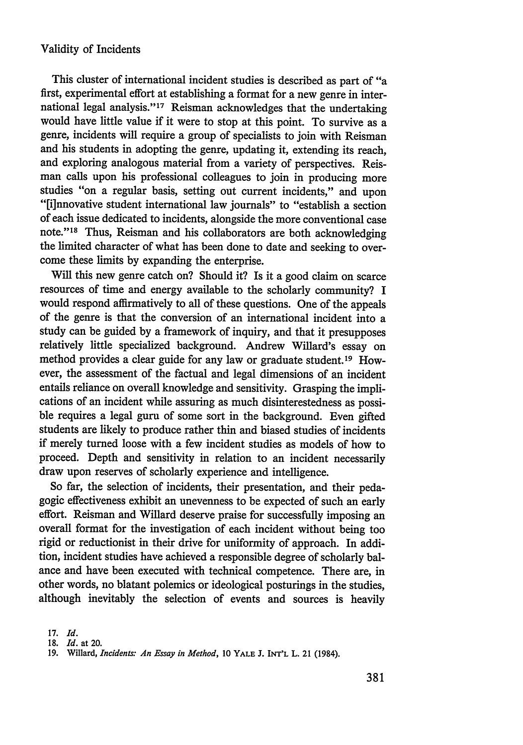This cluster of international incident studies is described as part of "a first, experimental effort at establishing a format for a new genre in international legal analysis."<sup>17</sup> Reisman acknowledges that the undertaking would have little value if it were to stop at this point. To survive as a genre, incidents will require a group of specialists to join with Reisman and his students in adopting the genre, updating it, extending its reach, and exploring analogous material from a variety of perspectives. Reisman calls upon his professional colleagues to join in producing more studies "on a regular basis, setting out current incidents," and upon "[i]nnovative student international law journals" to "establish a section of each issue dedicated to incidents, alongside the more conventional case note."<sup>18</sup> Thus, Reisman and his collaborators are both acknowledging the limited character of what has been done to date and seeking to overcome these limits by expanding the enterprise.

Will this new genre catch on? Should it? Is it a good claim on scarce resources of time and energy available to the scholarly community? I would respond affirmatively to all of these questions. One of the appeals of the genre is that the conversion of an international incident into a study can be guided by a framework of inquiry, and that it presupposes relatively little specialized background. Andrew Willard's essay on method provides a clear guide for any law or graduate student.19 However, the assessment of the factual and legal dimensions of an incident entails reliance on overall knowledge and sensitivity. Grasping the implications of an incident while assuring as much disinterestedness as possible requires a legal guru of some sort in the background. Even gifted students are likely to produce rather thin and biased studies of incidents if merely turned loose with a few incident studies as models of how to proceed. Depth and sensitivity in relation to an incident necessarily draw upon reserves of scholarly experience and intelligence.

So far, the selection of incidents, their presentation, and their pedagogic effectiveness exhibit an unevenness to be expected of such an early effort. Reisman and Willard deserve praise for successfully imposing an overall format for the investigation of each incident without being too rigid or reductionist in their drive for uniformity of approach. In addition, incident studies have achieved a responsible degree of scholarly balance and have been executed with technical competence. There are, in other words, no blatant polemics or ideological posturings in the studies, although inevitably the selection of events and sources is heavily

<sup>17.</sup> *Id.*

**<sup>18.</sup>** *Id.* at 20.

<sup>19.</sup> Willard, *Incidents: An Essay in Method,* 10 YALE J. INT'L L. 21 (1984).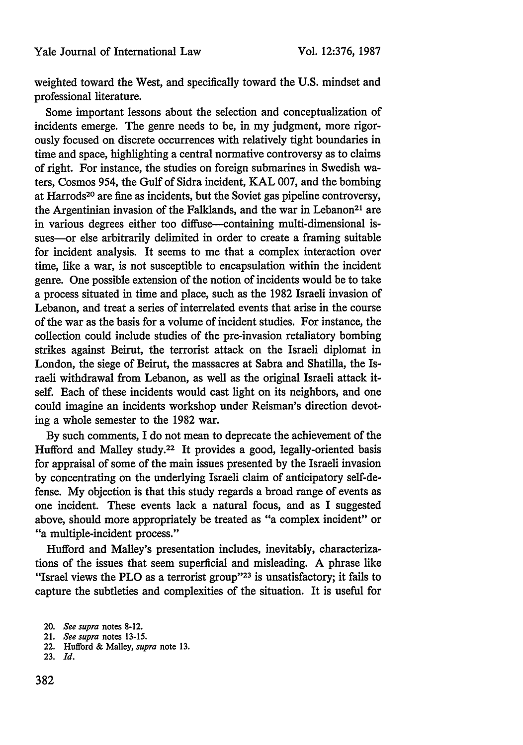weighted toward the West, and specifically toward the U.S. mindset and professional literature.

Some important lessons about the selection and conceptualization of incidents emerge. The genre needs to be, in my judgment, more rigorously focused on discrete occurrences with relatively tight boundaries in time and space, highlighting a central normative controversy as to claims of right. For instance, the studies on foreign submarines in Swedish waters, Cosmos 954, the Gulf of Sidra incident, KAL 007, and the bombing at Harrods2° are fine as incidents, but the Soviet gas pipeline controversy, the Argentinian invasion of the Falklands, and the war in Lebanon<sup>21</sup> are in various degrees either too diffuse--containing multi-dimensional issues-or else arbitrarily delimited in order to create a framing suitable for incident analysis. It seems to me that a complex interaction over time, like a war, is not susceptible to encapsulation within the incident genre. One possible extension of the notion of incidents would be to take a process situated in time and place, such as the 1982 Israeli invasion of Lebanon, and treat a series of interrelated events that arise in the course of the war as the basis for a volume of incident studies. For instance, the collection could include studies of the pre-invasion retaliatory bombing strikes against Beirut, the terrorist attack on the Israeli diplomat in London, the siege of Beirut, the massacres at Sabra and Shatilla, the Israeli withdrawal from Lebanon, as well as the original Israeli attack itself. Each of these incidents would cast light on its neighbors, and one could imagine an incidents workshop under Reisman's direction devoting a whole semester to the 1982 war.

By such comments, I do not mean to deprecate the achievement of the Hufford and Malley study.22 It provides a good, legally-oriented basis for appraisal of some of the main issues presented by the Israeli invasion by concentrating on the underlying Israeli claim of anticipatory self-defense. My objection is that this study regards a broad range of events as one incident. These events lack a natural focus, and as I suggested above, should more appropriately be treated as "a complex incident" or "a multiple-incident process."

Hufford and Malley's presentation includes, inevitably, characterizations of the issues that seem superficial and misleading. A phrase like "Israel views the PLO as a terrorist group"<sup>23</sup> is unsatisfactory; it fails to capture the subtleties and complexities of the situation. It is useful for

22. Hufford & Malley, *supra* note 13.

<sup>20.</sup> *See supra* notes 8-12.

<sup>21.</sup> *See supra* notes 13-15.

<sup>23.</sup> *Id.*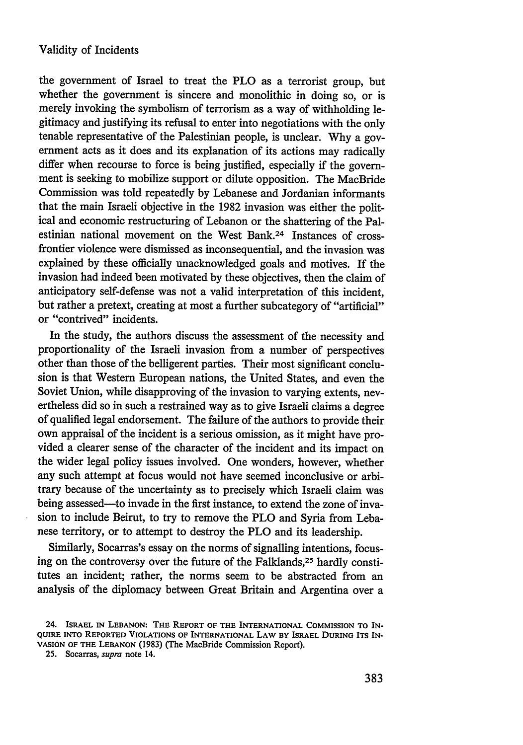the government of Israel to treat the PLO as a terrorist group, but whether the government is sincere and monolithic in doing so, or is merely invoking the symbolism of terrorism as a way of withholding legitimacy and justifying its refusal to enter into negotiations with the only tenable representative of the Palestinian people, is unclear. Why a government acts as it does and its explanation of its actions may radically differ when recourse to force is being justified, especially if the government is seeking to mobilize support or dilute opposition. The MacBride Commission was told repeatedly by Lebanese and Jordanian informants that the main Israeli objective in the 1982 invasion was either the political and economic restructuring of Lebanon or the shattering of the Palestinian national movement on the West Bank.24 Instances of crossfrontier violence were dismissed as inconsequential, and the invasion was explained by these officially unacknowledged goals and motives. If the invasion had indeed been motivated by these objectives, then the claim of anticipatory self-defense was not a valid interpretation of this incident, but rather a pretext, creating at most a further subcategory of "artificial" or "contrived" incidents.

In the study, the authors discuss the assessment of the necessity and proportionality of the Israeli invasion from a number of perspectives other than those of the belligerent parties. Their most significant conclusion is that Western European nations, the United States, and even the Soviet Union, while disapproving of the invasion to varying extents, nevertheless did so in such a restrained way as to give Israeli claims a degree of qualified legal endorsement. The failure of the authors to provide their own appraisal of the incident is a serious omission, as it might have provided a clearer sense of the character of the incident and its impact on the wider legal policy issues involved. One wonders, however, whether any such attempt at focus would not have seemed inconclusive or arbitrary because of the uncertainty as to precisely which Israeli claim was being assessed—to invade in the first instance, to extend the zone of invasion to include Beirut, to try to remove the PLO and Syria from Lebanese territory, or to attempt to destroy the PLO and its leadership.

Similarly, Socarras's essay on the norms of signalling intentions, focusing on the controversy over the future of the Falklands,<sup>25</sup> hardly constitutes an incident; rather, the norms seem to be abstracted from an analysis of the diplomacy between Great Britain and Argentina over a

<sup>24.</sup> **ISRAEL IN LEBANON: THE REPORT OF THE INTERNATIONAL COMMISSION TO IN-QUIRE** INTO **REPORTED VIOLATIONS** OF **INTERNATIONAL LAW BY ISRAEL DURING ITS IN-VASION OF THE LEBANON** (1983) (The MacBride Commission Report).

<sup>25.</sup> Socarras, *supra* note 14.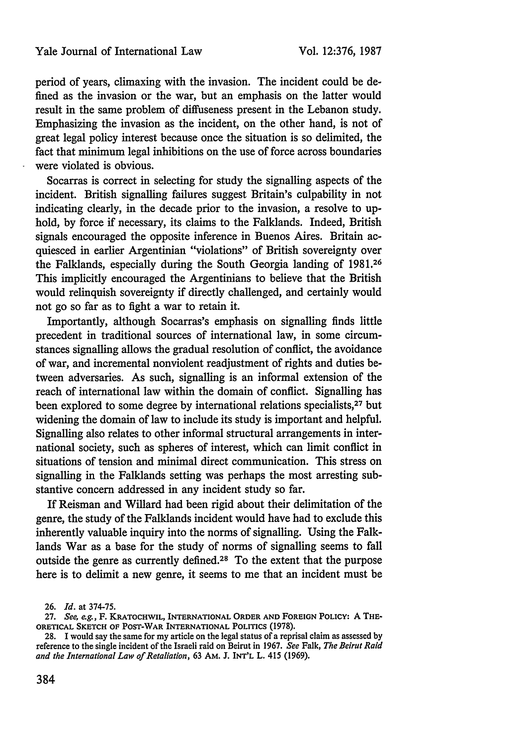#### Yale Journal of International Law

period of years, climaxing with the invasion. The incident could be defined as the invasion or the war, but an emphasis on the latter would result in the same problem of diffuseness present in the Lebanon study. Emphasizing the invasion as the incident, on the other hand, is not of great legal policy interest because once the situation is so delimited, the fact that minimum legal inhibitions on the use of force across boundaries were violated is obvious.

Socarras is correct in selecting for study the signalling aspects of the incident. British signalling failures suggest Britain's culpability in not indicating clearly, in the decade prior to the invasion, a resolve to uphold, by force if necessary, its claims to the Falklands. Indeed, British signals encouraged the opposite inference in Buenos Aires. Britain acquiesced in earlier Argentinian "violations" of British sovereignty over the Falklands, especially during the South Georgia landing of 1981.26 This implicitly encouraged the Argentinians to believe that the British would relinquish sovereignty if directly challenged, and certainly would not go so far as to fight a war to retain it.

Importantly, although Socarras's emphasis on signalling finds little precedent in traditional sources of international law, in some circumstances signalling allows the gradual resolution of conflict, the avoidance of war, and incremental nonviolent readjustment of rights and duties between adversaries. As such, signalling is an informal extension of the reach of international law within the domain of conflict. Signalling has been explored to some degree by international relations specialists,<sup>27</sup> but widening the domain of law to include its study is important and helpful. Signalling also relates to other informal structural arrangements in international society, such as spheres of interest, which can limit conflict in situations of tension and minimal direct communication. This stress on signalling in the Falklands setting was perhaps the most arresting substantive concern addressed in any incident study so far.

If Reisman and Willard had been rigid about their delimitation of the genre, the study of the Falklands incident would have had to exclude this inherently valuable inquiry into the norms of signalling. Using the Falklands War as a base for the study of norms of signalling seems to fall outside the genre as currently defined.28 To the extent that the purpose here is to delimit a new genre, it seems to me that an incident must be

<sup>26.</sup> *Id.* at 374-75.

**<sup>27.</sup>** *See,* e.g., **F. KRATOCHWIL, INTERNATIONAL ORDER AND FOREIGN POLICY: A THE-ORETICAL SKETCH OF** POST-WAR INTERNATIONAL **POLITICS (1978).**

**<sup>28.</sup> I would** say **the** same **for** my **article on** the **legal** status **of** a **reprisal claim** as assessed **by** reference **to the** single incident **of** the Israeli raid **on** Beirut in 1967. *See* Falk, *The Beirut Raid and the International Law of Retaliation,* **63 AM. J. INT'L L.** 415 (1969).